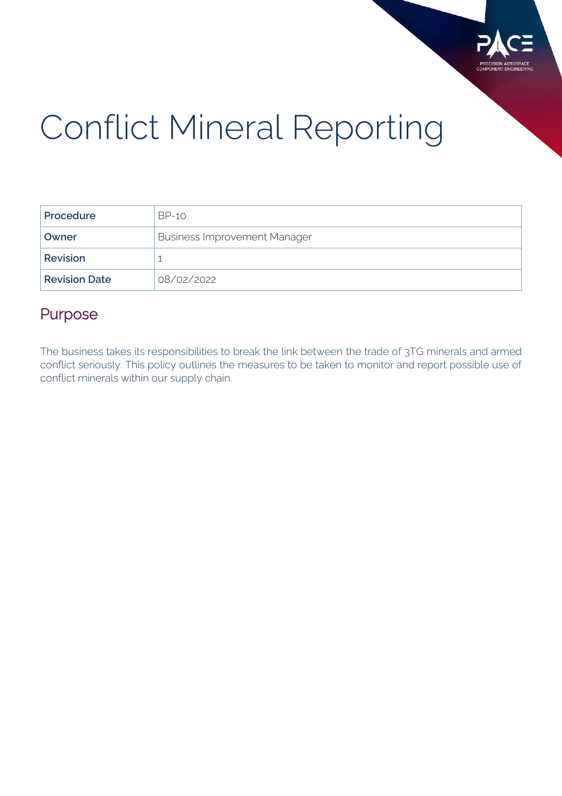

# Conflict Mineral Reporting

| Procedure            | BP-10                               |
|----------------------|-------------------------------------|
| Owner                | <b>Business Improvement Manager</b> |
| <b>Revision</b>      |                                     |
| <b>Revision Date</b> | 08/02/2022                          |

#### Purpose

The business takes its responsibilities to break the link between the trade of 3TG minerals and armed conflict seriously. This policy outlines the measures to be taken to monitor and report possible use of conflict minerals within our supply chain.